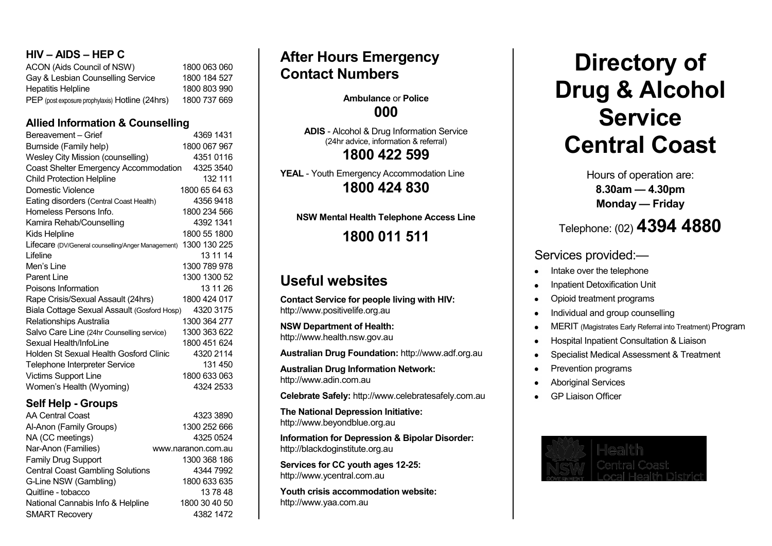# **HIV – AIDS – HEP C**

| ACON (Aids Council of NSW)                      | 1800 063 060 |
|-------------------------------------------------|--------------|
| Gay & Lesbian Counselling Service               | 1800 184 527 |
| <b>Hepatitis Helpline</b>                       | 1800 803 990 |
| PEP (post exposure prophylaxis) Hotline (24hrs) | 1800 737 669 |

# **Allied Information & Counselling**

| Bereavement - Grief                                | 4369 1431     |
|----------------------------------------------------|---------------|
| Burnside (Family help)                             | 1800 067 967  |
| <b>Wesley City Mission (counselling)</b>           | 43510116      |
| Coast Shelter Emergency Accommodation              | 4325 3540     |
| <b>Child Protection Helpline</b>                   | 132 111       |
| Domestic Violence                                  | 1800 65 64 63 |
| Eating disorders (Central Coast Health)            | 43569418      |
| Homeless Persons Info.                             | 1800 234 566  |
| Kamira Rehab/Counselling                           | 4392 1341     |
| Kids Helpline                                      | 1800 55 1800  |
| Lifecare (DV/General counselling/Anger Management) | 1300 130 225  |
| I ifeline                                          | 13 11 14      |
| Men's Line                                         | 1300 789 978  |
| <b>Parent Line</b>                                 | 1300 1300 52  |
| Poisons Information                                | 13 11 26      |
| Rape Crisis/Sexual Assault (24hrs)                 | 1800 424 017  |
| Biala Cottage Sexual Assault (Gosford Hosp)        | 4320 3175     |
| Relationships Australia                            | 1300 364 277  |
| Salvo Care Line (24hr Counselling service)         | 1300 363 622  |
| Sexual Health/Infol ine                            | 1800 451 624  |
| Holden St Sexual Health Gosford Clinic             | 4320 2114     |
| Telephone Interpreter Service                      | 131 450       |
| Victims Support Line                               | 1800 633 063  |
| Women's Health (Wyoming)                           | 4324 2533     |
|                                                    |               |

# **Self Help - Groups**

| <b>AA Central Coast</b>                 | 4323 3890          |
|-----------------------------------------|--------------------|
| Al-Anon (Family Groups)                 | 1300 252 666       |
| NA (CC meetings)                        | 4325 0524          |
| Nar-Anon (Families)                     | www.naranon.com.au |
| Family Drug Support                     | 1300 368 186       |
| <b>Central Coast Gambling Solutions</b> | 4344 7992          |
| G-Line NSW (Gambling)                   | 1800 633 635       |
| Quitline - tobacco                      | 137848             |
| National Cannabis Info & Helpline       | 1800 30 40 50      |
| <b>SMART Recovery</b>                   | 4382 1472          |

# **After Hours Emergency Contact Numbers**

# **Ambulance** or **Police 000**

**ADIS** - Alcohol & Drug Information Service (24hr advice, information & referral) **1800 422 599**

**YEAL** - Youth Emergency Accommodation Line **1800 424 830**

**NSW Mental Health Telephone Access Line**

**1800 011 511**

# **Useful websites**

**Contact Service for people living with HIV:** [http://www.positivelife.org.au](http://www.positivelife.org.au/)

**NSW Department of Health:** [http://www.health.nsw.gov.au](http://www.health.nsw.gov.au/)

**Australian Drug Foundation:** [http://www.adf.org.au](http://www.adf.org.au/)

**Australian Drug Information Network:** [http://www.adin.com.au](http://www.adin.com.au/)

**Celebrate Safely:** [http://www.celebratesafely.com.au](http://www.celebratesafely.com.au/)

**The National Depression Initiative:** [http://www.beyondblue.org.au](http://www.beyondblue.org.au/)

**Information for Depression & Bipolar Disorder:**  [http://blackdoginstitute.org.au](http://blackdoginstitute.org.au/)

**Services for CC youth ages 12-25:** [http://www.ycentral.com.au](http://www.ycentral.com.au/)

**Youth crisis accommodation website:**  [http://www.yaa.com.au](http://www.yaa.com.au/)

# **Directory of Drug & Alcohol Service Central Coast**

Hours of operation are: **8.30am — 4.30pm Monday — Friday**

# Telephone: (02) **4394 4880**

# Services provided:—

- Intake over the telephone
- Inpatient Detoxification Unit
- Opioid treatment programs
- Individual and group counselling
- MERIT (Magistrates Early Referral into Treatment) Program  $\bullet$
- Hospital Inpatient Consultation & Liaison  $\bullet$
- Specialist Medical Assessment & Treatment
- Prevention programs
- Aboriginal Services
- GP Liaison Officer